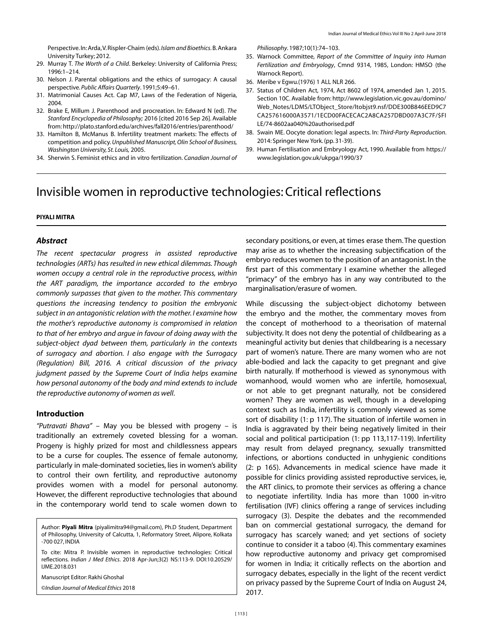Perspective. In: Arda, V. Rispler-Chaim (eds). *Islam and Bioethics*. B. Ankara University Turkey; 2012.

- 29. Murray T. *The Worth of a Child*. Berkeley: University of California Press; 1996:1–214.
- 30. Nelson J. Parental obligations and the ethics of surrogacy: A causal perspective. *Public Affairs Quarterly*. 1991;5:49–61.
- 31. Matrimonial Causes Act. Cap M7, Laws of the Federation of Nigeria, 2004.
- 32. Brake E, Millum J. Parenthood and procreation. In: Edward N (ed). *The Stanford Encyclopedia of Philosophy;* 2016 [cited 2016 Sep 26]. Available from: http://plato.stanford.edu/archives/fall2016/entries/parenthood/
- 33. Hamilton B, McManus B. Infertility treatment markets: The effects of competition and policy. *Unpublished Manuscript, Olin School of Business, Washington University, St. Louis,* 2005.
- 34. Sherwin S. Feminist ethics and in vitro fertilization. *Canadian Journal of*

*Philiosophy*. 1987;10(1):74–103.

- 35. Warnock Committee, *Report of the Committee of Inquiry into Human Fertilization and Embryology*, Cmnd 9314, 1985, London: HMSO (the Warnock Report).
- 36. Meribe v Egwu.(1976) 1 ALL NLR 266.
- 37. Status of Children Act, 1974, Act 8602 of 1974, amended Jan 1, 2015. Section 10C. Available from: http://www.legislation.vic.gov.au/domino/ Web\_Notes/LDMS/LTObject\_Store/ltobjst9.nsf/DDE300B846EED9C7 CA257616000A3571/1ECD00FACECAC2A8CA257DBD007A3C7F/\$FI LE/74-8602aa040%20authorised.pdf
- 38. Swain ME. Oocyte donation: legal aspects. In: *Third-Party Reproduction*. 2014: Springer New York. (pp. 31-39).
- 39. Human Fertilisation and Embryology Act, 1990. Available from https:// www.legislation.gov.uk/ukpga/1990/37

# Invisible women in reproductive technologies: Critical reflections

### **PIYALI MITRA**

#### *Abstract*

*The recent spectacular progress in assisted reproductive technologies (ARTs) has resulted in new ethical dilemmas. Though women occupy a central role in the reproductive process, within the ART paradigm, the importance accorded to the embryo commonly surpasses that given to the mother. This commentary questions the increasing tendency to position the embryonic subject in an antagonistic relation with the mother. I examine how the mother's reproductive autonomy is compromised in relation to that of her embryo and argue in favour of doing away with the subject-object dyad between them, particularly in the contexts of surrogacy and abortion. I also engage with the Surrogacy (Regulation) Bill, 2016. A critical discussion of the privacy judgment passed by the Supreme Court of India helps examine how personal autonomy of the body and mind extends to include the reproductive autonomy of women as well*.

#### **Introduction**

*"Putravati Bhava"* – May you be blessed with progeny – is traditionally an extremely coveted blessing for a woman. Progeny is highly prized for most and childlessness appears to be a curse for couples. The essence of female autonomy, particularly in male-dominated societies, lies in women's ability to control their own fertility, and reproductive autonomy provides women with a model for personal autonomy. However, the different reproductive technologies that abound in the contemporary world tend to scale women down to

Author: **Piyali Mitra** (piyalimitra94@gmail.com), Ph.D Student, Department of Philosophy, University of Calcutta, 1, Reformatory Street, Alipore, Kolkata -700 027, INDIA

To cite: Mitra P. Invisible women in reproductive technologies: Critical reflections. *Indian J Med Ethics*. 2018 Apr-Jun;3(2) NS:113-9. DOI:10.20529/ IJME.2018.031

Manuscript Editor: Rakhi Ghoshal

©*Indian Journal of Medical Ethics* 2018

secondary positions, or even, at times erase them. The question may arise as to whether the increasing subjectification of the embryo reduces women to the position of an antagonist. In the first part of this commentary I examine whether the alleged "primacy" of the embryo has in any way contributed to the marginalisation/erasure of women.

While discussing the subject-object dichotomy between the embryo and the mother, the commentary moves from the concept of motherhood to a theorisation of maternal subjectivity. It does not deny the potential of childbearing as a meaningful activity but denies that childbearing is a necessary part of women's nature. There are many women who are not able-bodied and lack the capacity to get pregnant and give birth naturally. If motherhood is viewed as synonymous with womanhood, would women who are infertile, homosexual, or not able to get pregnant naturally, not be considered women? They are women as well, though in a developing context such as India, infertility is commonly viewed as some sort of disability (1: p 117). The situation of infertile women in India is aggravated by their being negatively limited in their social and political participation (1: pp 113,117-119). Infertility may result from delayed pregnancy, sexually transmitted infections, or abortions conducted in unhygienic conditions (2: p 165). Advancements in medical science have made it possible for clinics providing assisted reproductive services, ie, the ART clinics, to promote their services as offering a chance to negotiate infertility. India has more than 1000 in-vitro fertilisation (IVF) clinics offering a range of services including surrogacy (3). Despite the debates and the recommended ban on commercial gestational surrogacy, the demand for surrogacy has scarcely waned; and yet sections of society continue to consider it a taboo (4). This commentary examines how reproductive autonomy and privacy get compromised for women in India; it critically reflects on the abortion and surrogacy debates, especially in the light of the recent verdict on privacy passed by the Supreme Court of India on August 24, 2017.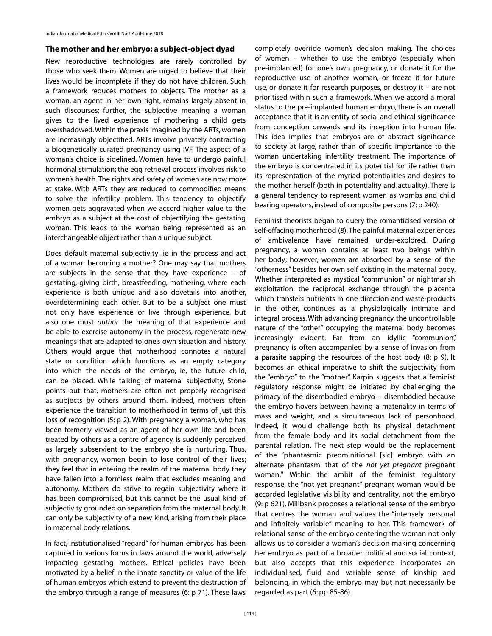## **The mother and her embryo: a subject-object dyad**

New reproductive technologies are rarely controlled by those who seek them. Women are urged to believe that their lives would be incomplete if they do not have children. Such a framework reduces mothers to objects. The mother as a woman, an agent in her own right, remains largely absent in such discourses; further, the subjective meaning a woman gives to the lived experience of mothering a child gets overshadowed. Within the praxis imagined by the ARTs, women are increasingly objectified. ARTs involve privately contracting a biogenetically curated pregnancy using IVF. The aspect of a woman's choice is sidelined. Women have to undergo painful hormonal stimulation; the egg retrieval process involves risk to women's health. The rights and safety of women are now more at stake. With ARTs they are reduced to commodified means to solve the infertility problem. This tendency to objectify women gets aggravated when we accord higher value to the embryo as a subject at the cost of objectifying the gestating woman. This leads to the woman being represented as an interchangeable object rather than a unique subject.

Does default maternal subjectivity lie in the process and act of a woman becoming a mother? One may say that mothers are subjects in the sense that they have experience – of gestating, giving birth, breastfeeding, mothering, where each experience is both unique and also dovetails into another, overdetermining each other. But to be a subject one must not only have experience or live through experience, but also one must *author* the meaning of that experience and be able to exercise autonomy in the process, regenerate new meanings that are adapted to one's own situation and history. Others would argue that motherhood connotes a natural state or condition which functions as an empty category into which the needs of the embryo, ie, the future child, can be placed. While talking of maternal subjectivity, Stone points out that, mothers are often not properly recognised as subjects by others around them. Indeed, mothers often experience the transition to motherhood in terms of just this loss of recognition (5: p 2). With pregnancy a woman, who has been formerly viewed as an agent of her own life and been treated by others as a centre of agency, is suddenly perceived as largely subservient to the embryo she is nurturing. Thus, with pregnancy, women begin to lose control of their lives; they feel that in entering the realm of the maternal body they have fallen into a formless realm that excludes meaning and autonomy. Mothers do strive to regain subjectivity where it has been compromised, but this cannot be the usual kind of subjectivity grounded on separation from the maternal body. It can only be subjectivity of a new kind, arising from their place in maternal body relations.

In fact, institutionalised "regard" for human embryos has been captured in various forms in laws around the world, adversely impacting gestating mothers. Ethical policies have been motivated by a belief in the innate sanctity or value of the life of human embryos which extend to prevent the destruction of the embryo through a range of measures (6: p 71). These laws

completely override women's decision making. The choices of women – whether to use the embryo (especially when pre-implanted) for one's own pregnancy, or donate it for the reproductive use of another woman, or freeze it for future use, or donate it for research purposes, or destroy it – are not prioritised within such a framework. When we accord a moral status to the pre-implanted human embryo, there is an overall acceptance that it is an entity of social and ethical significance from conception onwards and its inception into human life. This idea implies that embryos are of abstract significance to society at large, rather than of specific importance to the woman undertaking infertility treatment. The importance of the embryo is concentrated in its potential for life rather than its representation of the myriad potentialities and desires to the mother herself (both in potentiality and actuality). There is a general tendency to represent women as wombs and child bearing operators, instead of composite persons (7: p 240).

Feminist theorists began to query the romanticised version of self-effacing motherhood (8). The painful maternal experiences of ambivalence have remained under-explored. During pregnancy, a woman contains at least two beings within her body; however, women are absorbed by a sense of the "otherness" besides her own self existing in the maternal body. Whether interpreted as mystical "communion" or nightmarish exploitation, the reciprocal exchange through the placenta which transfers nutrients in one direction and waste-products in the other, continues as a physiologically intimate and integral process. With advancing pregnancy, the uncontrollable nature of the "other" occupying the maternal body becomes increasingly evident. Far from an idyllic "communion", pregnancy is often accompanied by a sense of invasion from a parasite sapping the resources of the host body (8: p 9). It becomes an ethical imperative to shift the subjectivity from the "embryo" to the "mother". Karpin suggests that a feminist regulatory response might be initiated by challenging the primacy of the disembodied embryo – disembodied because the embryo hovers between having a materiality in terms of mass and weight, and a simultaneous lack of personhood. Indeed, it would challenge both its physical detachment from the female body and its social detachment from the parental relation. The next step would be the replacement of the "phantasmic preominitional [sic] embryo with an alternate phantasm: that of the *not yet pregnant* pregnant woman." Within the ambit of the feminist regulatory response, the "not yet pregnant" pregnant woman would be accorded legislative visibility and centrality, not the embryo (9: p 621). Millbank proposes a relational sense of the embryo that centres the woman and values the "intensely personal and infinitely variable" meaning to her. This framework of relational sense of the embryo centering the woman not only allows us to consider a woman's decision making concerning her embryo as part of a broader political and social context, but also accepts that this experience incorporates an individualised, fluid and variable sense of kinship and belonging, in which the embryo may but not necessarily be regarded as part (6: pp 85-86).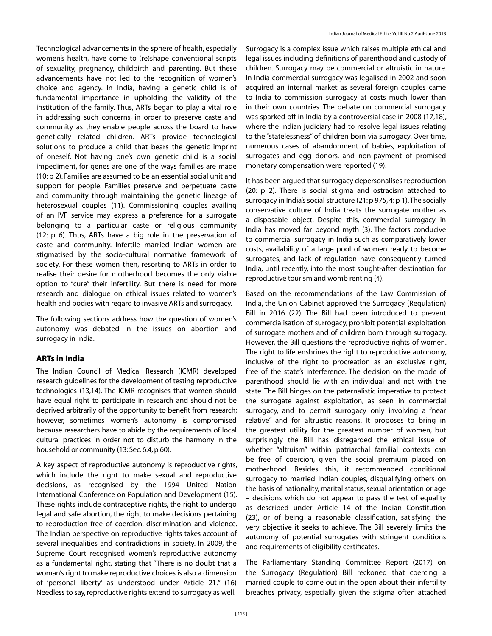Technological advancements in the sphere of health, especially women's health, have come to (re)shape conventional scripts of sexuality, pregnancy, childbirth and parenting. But these advancements have not led to the recognition of women's choice and agency. In India, having a genetic child is of fundamental importance in upholding the validity of the institution of the family. Thus, ARTs began to play a vital role in addressing such concerns, in order to preserve caste and community as they enable people across the board to have genetically related children. ARTs provide technological solutions to produce a child that bears the genetic imprint of oneself. Not having one's own genetic child is a social impediment, for genes are one of the ways families are made (10: p 2). Families are assumed to be an essential social unit and support for people. Families preserve and perpetuate caste and community through maintaining the genetic lineage of heterosexual couples (11). Commissioning couples availing of an IVF service may express a preference for a surrogate belonging to a particular caste or religious community (12: p 6). Thus, ARTs have a big role in the preservation of caste and community. Infertile married Indian women are stigmatised by the socio-cultural normative framework of society. For these women then, resorting to ARTs in order to realise their desire for motherhood becomes the only viable option to "cure" their infertility. But there is need for more research and dialogue on ethical issues related to women's health and bodies with regard to invasive ARTs and surrogacy.

The following sections address how the question of women's autonomy was debated in the issues on abortion and surrogacy in India.

## **ARTs in India**

The Indian Council of Medical Research (ICMR) developed research guidelines for the development of testing reproductive technologies (13,14). The ICMR recognises that women should have equal right to participate in research and should not be deprived arbitrarily of the opportunity to benefit from research; however, sometimes women's autonomy is compromised because researchers have to abide by the requirements of local cultural practices in order not to disturb the harmony in the household or community (13: Sec. 6.4, p 60).

A key aspect of reproductive autonomy is reproductive rights, which include the right to make sexual and reproductive decisions, as recognised by the 1994 United Nation International Conference on Population and Development (15). These rights include contraceptive rights, the right to undergo legal and safe abortion, the right to make decisions pertaining to reproduction free of coercion, discrimination and violence. The Indian perspective on reproductive rights takes account of several inequalities and contradictions in society. In 2009, the Supreme Court recognised women's reproductive autonomy as a fundamental right, stating that "There is no doubt that a woman's right to make reproductive choices is also a dimension of 'personal liberty' as understood under Article 21." (16) Needless to say, reproductive rights extend to surrogacy as well.

Surrogacy is a complex issue which raises multiple ethical and legal issues including definitions of parenthood and custody of children. Surrogacy may be commercial or altruistic in nature. In India commercial surrogacy was legalised in 2002 and soon acquired an internal market as several foreign couples came to India to commission surrogacy at costs much lower than in their own countries. The debate on commercial surrogacy was sparked off in India by a controversial case in 2008 (17,18), where the Indian judiciary had to resolve legal issues relating to the "statelessness" of children born via surrogacy. Over time, numerous cases of abandonment of babies, exploitation of surrogates and egg donors, and non-payment of promised monetary compensation were reported (19).

It has been argued that surrogacy depersonalises reproduction (20: p 2). There is social stigma and ostracism attached to surrogacy in India's social structure (21: p 975, 4: p 1). The socially conservative culture of India treats the surrogate mother as a disposable object. Despite this, commercial surrogacy in India has moved far beyond myth (3). The factors conducive to commercial surrogacy in India such as comparatively lower costs, availability of a large pool of women ready to become surrogates, and lack of regulation have consequently turned India, until recently, into the most sought-after destination for reproductive tourism and womb renting (4).

Based on the recommendations of the Law Commission of India, the Union Cabinet approved the Surrogacy (Regulation) Bill in 2016 (22). The Bill had been introduced to prevent commercialisation of surrogacy, prohibit potential exploitation of surrogate mothers and of children born through surrogacy. However, the Bill questions the reproductive rights of women. The right to life enshrines the right to reproductive autonomy, inclusive of the right to procreation as an exclusive right, free of the state's interference. The decision on the mode of parenthood should lie with an individual and not with the state. The Bill hinges on the paternalistic imperative to protect the surrogate against exploitation, as seen in commercial surrogacy, and to permit surrogacy only involving a "near relative" and for altruistic reasons. It proposes to bring in the greatest utility for the greatest number of women, but surprisingly the Bill has disregarded the ethical issue of whether "altruism" within patriarchal familial contexts can be free of coercion, given the social premium placed on motherhood. Besides this, it recommended conditional surrogacy to married Indian couples, disqualifying others on the basis of nationality, marital status, sexual orientation or age – decisions which do not appear to pass the test of equality as described under Article 14 of the Indian Constitution (23), or of being a reasonable classification, satisfying the very objective it seeks to achieve. The Bill severely limits the autonomy of potential surrogates with stringent conditions and requirements of eligibility certificates.

The Parliamentary Standing Committee Report (2017) on the Surrogacy (Regulation) Bill reckoned that coercing a married couple to come out in the open about their infertility breaches privacy, especially given the stigma often attached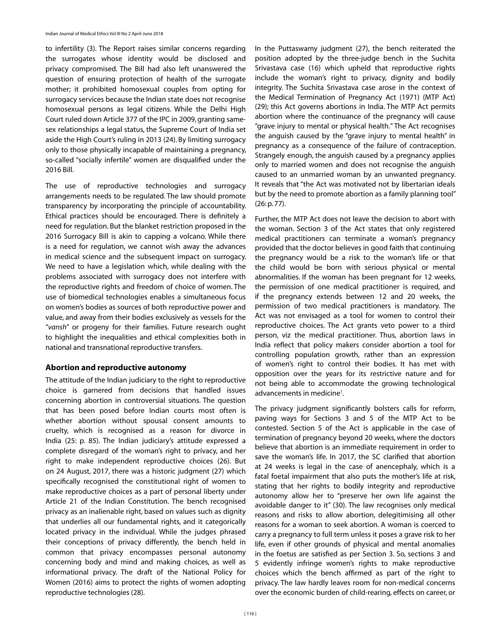to infertility (3). The Report raises similar concerns regarding the surrogates whose identity would be disclosed and privacy compromised. The Bill had also left unanswered the question of ensuring protection of health of the surrogate mother; it prohibited homosexual couples from opting for surrogacy services because the Indian state does not recognise homosexual persons as legal citizens. While the Delhi High Court ruled down Article 377 of the IPC in 2009, granting samesex relationships a legal status, the Supreme Court of India set aside the High Court's ruling in 2013 (24). By limiting surrogacy only to those physically incapable of maintaining a pregnancy, so-called "socially infertile" women are disqualified under the 2016 Bill.

The use of reproductive technologies and surrogacy arrangements needs to be regulated. The law should promote transparency by incorporating the principle of accountability. Ethical practices should be encouraged. There is definitely a need for regulation. But the blanket restriction proposed in the 2016 Surrogacy Bill is akin to capping a volcano. While there is a need for regulation, we cannot wish away the advances in medical science and the subsequent impact on surrogacy. We need to have a legislation which, while dealing with the problems associated with surrogacy does not interfere with the reproductive rights and freedom of choice of women. The use of biomedical technologies enables a simultaneous focus on women's bodies as sources of both reproductive power and value, and away from their bodies exclusively as vessels for the "*vansh*" or progeny for their families. Future research ought to highlight the inequalities and ethical complexities both in national and transnational reproductive transfers.

## **Abortion and reproductive autonomy**

The attitude of the Indian judiciary to the right to reproductive choice is garnered from decisions that handled issues concerning abortion in controversial situations. The question that has been posed before Indian courts most often is whether abortion without spousal consent amounts to cruelty, which is recognised as a reason for divorce in India (25: p. 85). The Indian judiciary's attitude expressed a complete disregard of the woman's right to privacy, and her right to make independent reproductive choices (26). But on 24 August, 2017, there was a historic judgment (27) which specifically recognised the constitutional right of women to make reproductive choices as a part of personal liberty under Article 21 of the Indian Constitution. The bench recognised privacy as an inalienable right, based on values such as dignity that underlies all our fundamental rights, and it categorically located privacy in the individual. While the judges phrased their conceptions of privacy differently, the bench held in common that privacy encompasses personal autonomy concerning body and mind and making choices, as well as informational privacy. The draft of the National Policy for Women (2016) aims to protect the rights of women adopting reproductive technologies (28).

In the Puttaswamy judgment (27), the bench reiterated the position adopted by the three-judge bench in the Suchita Srivastava case (16) which upheld that reproductive rights include the woman's right to privacy, dignity and bodily integrity. The Suchita Srivastava case arose in the context of the Medical Termination of Pregnancy Act (1971) (MTP Act) (29); this Act governs abortions in India. The MTP Act permits abortion where the continuance of the pregnancy will cause "grave injury to mental or physical health." The Act recognises the anguish caused by the "grave injury to mental health" in pregnancy as a consequence of the failure of contraception. Strangely enough, the anguish caused by a pregnancy applies only to married women and does not recognise the anguish caused to an unmarried woman by an unwanted pregnancy. It reveals that "the Act was motivated not by libertarian ideals but by the need to promote abortion as a family planning tool" (26: p. 77).

Further, the MTP Act does not leave the decision to abort with the woman. Section 3 of the Act states that only registered medical practitioners can terminate a woman's pregnancy provided that the doctor believes in good faith that continuing the pregnancy would be a risk to the woman's life or that the child would be born with serious physical or mental abnormalities. If the woman has been pregnant for 12 weeks, the permission of one medical practitioner is required, and if the pregnancy extends between 12 and 20 weeks, the permission of two medical practitioners is mandatory. The Act was not envisaged as a tool for women to control their reproductive choices. The Act grants veto power to a third person, viz the medical practitioner. Thus, abortion laws in India reflect that policy makers consider abortion a tool for controlling population growth, rather than an expression of women's right to control their bodies. It has met with opposition over the years for its restrictive nature and for not being able to accommodate the growing technological advancements in medicine<sup>1</sup>.

The privacy judgment significantly bolsters calls for reform, paving ways for Sections 3 and 5 of the MTP Act to be contested. Section 5 of the Act is applicable in the case of termination of pregnancy beyond 20 weeks, where the doctors believe that abortion is an immediate requirement in order to save the woman's life. In 2017, the SC clarified that abortion at 24 weeks is legal in the case of anencephaly, which is a fatal foetal impairment that also puts the mother's life at risk, stating that her rights to bodily integrity and reproductive autonomy allow her to "preserve her own life against the avoidable danger to it" (30). The law recognises only medical reasons and risks to allow abortion, delegitimising all other reasons for a woman to seek abortion. A woman is coerced to carry a pregnancy to full term unless it poses a grave risk to her life, even if other grounds of physical and mental anomalies in the foetus are satisfied as per Section 3. So, sections 3 and 5 evidently infringe women's rights to make reproductive choices which the bench affirmed as part of the right to privacy. The law hardly leaves room for non-medical concerns over the economic burden of child-rearing, effects on career, or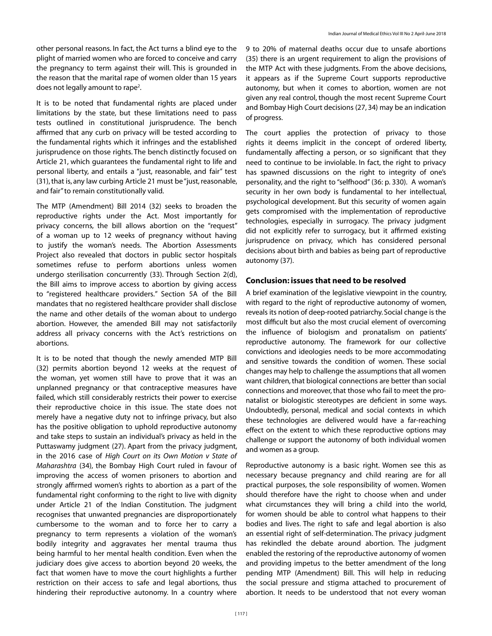It is to be noted that fundamental rights are placed under limitations by the state, but these limitations need to pass tests outlined in constitutional jurisprudence. The bench affirmed that any curb on privacy will be tested according to the fundamental rights which it infringes and the established jurisprudence on those rights. The bench distinctly focused on Article 21, which guarantees the fundamental right to life and personal liberty, and entails a "just, reasonable, and fair" test (31), that is, any law curbing Article 21 must be "just, reasonable, and fair" to remain constitutionally valid.

The MTP (Amendment) Bill 2014 (32) seeks to broaden the reproductive rights under the Act. Most importantly for privacy concerns, the bill allows abortion on the "request" of a woman up to 12 weeks of pregnancy without having to justify the woman's needs. The Abortion Assessments Project also revealed that doctors in public sector hospitals sometimes refuse to perform abortions unless women undergo sterilisation concurrently (33). Through Section 2(d), the Bill aims to improve access to abortion by giving access to "registered healthcare providers." Section 5A of the Bill mandates that no registered healthcare provider shall disclose the name and other details of the woman about to undergo abortion. However, the amended Bill may not satisfactorily address all privacy concerns with the Act's restrictions on abortions.

It is to be noted that though the newly amended MTP Bill (32) permits abortion beyond 12 weeks at the request of the woman, yet women still have to prove that it was an unplanned pregnancy or that contraceptive measures have failed, which still considerably restricts their power to exercise their reproductive choice in this issue. The state does not merely have a negative duty not to infringe privacy, but also has the positive obligation to uphold reproductive autonomy and take steps to sustain an individual's privacy as held in the Puttaswamy judgment (27). Apart from the privacy judgment, in the 2016 case of *High Court on its Own Motion v State of Maharashtra* (34), the Bombay High Court ruled in favour of improving the access of women prisoners to abortion and strongly affirmed women's rights to abortion as a part of the fundamental right conforming to the right to live with dignity under Article 21 of the Indian Constitution. The judgment recognises that unwanted pregnancies are disproportionately cumbersome to the woman and to force her to carry a pregnancy to term represents a violation of the woman's bodily integrity and aggravates her mental trauma thus being harmful to her mental health condition. Even when the judiciary does give access to abortion beyond 20 weeks, the fact that women have to move the court highlights a further restriction on their access to safe and legal abortions, thus hindering their reproductive autonomy. In a country where

9 to 20% of maternal deaths occur due to unsafe abortions (35) there is an urgent requirement to align the provisions of the MTP Act with these judgments. From the above decisions, it appears as if the Supreme Court supports reproductive autonomy, but when it comes to abortion, women are not given any real control, though the most recent Supreme Court and Bombay High Court decisions (27, 34) may be an indication of progress.

The court applies the protection of privacy to those rights it deems implicit in the concept of ordered liberty, fundamentally affecting a person, or so significant that they need to continue to be inviolable. In fact, the right to privacy has spawned discussions on the right to integrity of one's personality, and the right to "selfhood" (36: p. 330). A woman's security in her own body is fundamental to her intellectual, psychological development. But this security of women again gets compromised with the implementation of reproductive technologies, especially in surrogacy. The privacy judgment did not explicitly refer to surrogacy, but it affirmed existing jurisprudence on privacy, which has considered personal decisions about birth and babies as being part of reproductive autonomy (37).

## **Conclusion: issues that need to be resolved**

A brief examination of the legislative viewpoint in the country, with regard to the right of reproductive autonomy of women, reveals its notion of deep-rooted patriarchy. Social change is the most difficult but also the most crucial element of overcoming the influence of biologism and pronatalism on patients' reproductive autonomy. The framework for our collective convictions and ideologies needs to be more accommodating and sensitive towards the condition of women. These social changes may help to challenge the assumptions that all women want children, that biological connections are better than social connections and moreover, that those who fail to meet the pronatalist or biologistic stereotypes are deficient in some ways. Undoubtedly, personal, medical and social contexts in which these technologies are delivered would have a far-reaching effect on the extent to which these reproductive options may challenge or support the autonomy of both individual women and women as a group.

Reproductive autonomy is a basic right. Women see this as necessary because pregnancy and child rearing are for all practical purposes, the sole responsibility of women. Women should therefore have the right to choose when and under what circumstances they will bring a child into the world, for women should be able to control what happens to their bodies and lives. The right to safe and legal abortion is also an essential right of self-determination. The privacy judgment has rekindled the debate around abortion. The judgment enabled the restoring of the reproductive autonomy of women and providing impetus to the better amendment of the long pending MTP (Amendment) Bill. This will help in reducing the social pressure and stigma attached to procurement of abortion. It needs to be understood that not every woman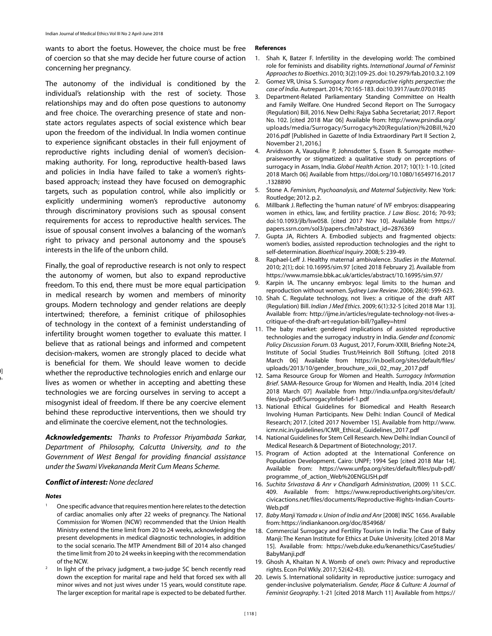wants to abort the foetus. However, the choice must be free of coercion so that she may decide her future course of action concerning her pregnancy.

The autonomy of the individual is conditioned by the individual's relationship with the rest of society. Those relationships may and do often pose questions to autonomy and free choice. The overarching presence of state and nonstate actors regulates aspects of social existence which bear upon the freedom of the individual. In India women continue to experience significant obstacles in their full enjoyment of reproductive rights including denial of women's decisionmaking authority. For long, reproductive health-based laws and policies in India have failed to take a women's rightsbased approach; instead they have focused on demographic targets, such as population control, while also implicitly or explicitly undermining women's reproductive autonomy through discriminatory provisions such as spousal consent requirements for access to reproductive health services. The issue of spousal consent involves a balancing of the woman's right to privacy and personal autonomy and the spouse's interests in the life of the unborn child.

Finally, the goal of reproductive research is not only to respect the autonomy of women, but also to expand reproductive freedom. To this end, there must be more equal participation in medical research by women and members of minority groups. Modern technology and gender relations are deeply intertwined; therefore, a feminist critique of philosophies of technology in the context of a feminist understanding of infertility brought women together to evaluate this matter. I believe that as rational beings and informed and competent decision-makers, women are strongly placed to decide what is beneficial for them. We should leave women to decide whether the reproductive technologies enrich and enlarge our lives as women or whether in accepting and abetting these technologies we are forcing ourselves in serving to accept a misogynist ideal of freedom. If there be any coercive element behind these reproductive interventions, then we should try and eliminate the coercive element, not the technologies.

*Acknowledgements: Thanks to Professor Priyambada Sarkar, Department of Philosophy, Calcutta University, and to the Government of West Bengal for providing financial assistance under the Swami Vivekananda Merit Cum Means Scheme.*

#### *Conflict of interest: None declared*

#### *Notes*

. [(  $)$ -

- One specific advance that requires mention here relates to the detection of cardiac anomalies only after 22 weeks of pregnancy. The National Commission for Women (NCW) recommended that the Union Health Ministry extend the time limit from 20 to 24 weeks, acknowledging the present developments in medical diagnostic technologies, in addition to the social scenario. The MTP Amendment Bill of 2014 also changed the time limit from 20 to 24 weeks in keeping with the recommendation of the NCW.
- In light of the privacy judgment, a two-judge SC bench recently read down the exception for marital rape and held that forced sex with all minor wives and not just wives under 15 years, would constitute rape. The larger exception for marital rape is expected to be debated further.

#### **References**

- 1. Shah K, Batzer F. Infertility in the developing world: The combined role for feminists and disability rights. *International Journal of Feminist Approaches to Bioethics*. 2010; 3(2):109-25. doi: 10.2979/fab.2010.3.2.109
- 2. Gomez VR, Unisa S. *Surrogacy from a reproductive rights perspective: the case of India*. Autrepart. 2014; 70:165-183. doi:10.3917/autr.070.0185
- 3. Department-Related Parliamentary Standing Committee on Health and Family Welfare. One Hundred Second Report on The Surrogacy (Regulation) Bill, 2016. New Delhi: Rajya Sabha Secretariat; 2017. Report No. 102. [cited 2018 Mar 06] Available from: http://www.prsindia.org/ uploads/media/Surrogacy/Surrogacy%20(Regulation)%20Bill,%20 2016.pdf [Published in Gazette of India Extraordinary Part II Section 2, November 21, 2016.]
- 4. Arvidsson A, Vauquline P, Johnsdotter S, Essen B. Surrogate motherpraiseworthy or stigmatized: a qualitative study on perceptions of surrogacy in Assam, India. *Global Health Action*. 2017; 10(1): 1-10. [cited 2018 March 06] Available from https://doi.org/10.1080/16549716.2017 .1328890
- 5. Stone A. *Feminism, Psychoanalysis, and Maternal Subjectivity*. New York: Routledge; 2012. p.2.
- 6. Millbank J. Reflecting the 'human nature' of IVF embryos: disappearing women in ethics, law, and fertility practice. *J Law Biosc*. 2016; 70-93; doi:10.1093/jlb/lsw058. [cited 2017 Nov 10]. Available from https:// papers.ssrn.com/sol3/papers.cfm?abstract\_id=2876369
- Gupta JA, Richters A. Embodied subjects and fragmented objects: women's bodies, assisted reproduction technologies and the right to self-determination. *Bioethical Inquiry*. 2008; 5: 239-49.
- 8. Raphael-Leff J. Healthy maternal ambivalence. *Studies in the Maternal*. 2010; 2(1); doi: 10.16995/sim.97 [cited 2018 February 2]. Available from https://www.mamsie.bbk.ac.uk/articles/abstract/10.16995/sim.97/
- Karpin IA. The uncanny embryos: legal limits to the human and reproduction without women. *Sydney Law Review*. 2006; 28(4): 599-623.
- 10. Shah C. Regulate technology, not lives: a critique of the draft ART (Regulation) Bill. *Indian J Med Ethics*. 2009; 6(1):32-5 [cited 2018 Mar 13]. Available from: http://ijme.in/articles/regulate-technology-not-lives-acritique-of-the-draft-art-regulation-bill/?galley=html
- 11. The baby market: gendered implications of assisted reproductive technologies and the surrogacy industry in India. *Gender and Economic Policy Discussion Forum*. 03 August, 2017, Forum-XXIII, Briefing Note:24, Institute of Social Studies Trust/Heinrich Böll Stiftung. [cited 2018 March 06] Available from https://in.boell.org/sites/default/files/ uploads/2013/10/gender\_brouchure\_xxii\_02\_may\_2017.pdf
- 12. Sama Resource Group for Women and Health. *Surrogacy Information Brief*. SAMA-Resource Group for Women and Health, India. 2014 [cited 2018 March 07] Available from http://india.unfpa.org/sites/default/ files/pub-pdf/SurrogacyInfobrief-1.pdf
- 13. National Ethical Guidelines for Biomedical and Health Research Involving Human Participants. New Delhi: Indian Council of Medical Research; 2017. [cited 2017 November 15]. Available from http://www. icmr.nic.in/guidelines/ICMR\_Ethical\_Guidelines\_2017.pdf
- 14. National Guidelines for Stem Cell Research. New Delhi: Indian Council of Medical Research & Department of Biotechnology; 2017.
- 15. Program of Action adopted at the International Conference on Population Development. Cairo: UNPF; 1994 Sep [cited 2018 Mar 14]. Available from: https://www.unfpa.org/sites/default/files/pub-pdf/ programme\_of\_action\_Web%20ENGLISH.pdf
- 16. *Suchita Srivastava & Anr v Chandigarh Administration*, (2009) 11 S.C.C. 409. Available from: https://www.reproductiverights.org/sites/crr. civicactions.net/files/documents/Reproductive-Rights-Indian-Courts-Web.pdf
- 17. *Baby Manji Yamada v. Union of India and Anr* [2008] INSC 1656. Available from: https://indiankanoon.org/doc/854968/
- 18. Commercial Surrogacy and Fertility Tourism in India: The Case of Baby Manji: The Kenan Institute for Ethics at Duke University. [cited 2018 Mar 15]. Available from: https://web.duke.edu/kenanethics/CaseStudies/ BabyManji.pdf
- Ghosh A, Khaitan N A. Womb of one's own: Privacy and reproductive rights. Econ Pol Wkly. 2017; 52(42-43).
- 20. Lewis S. International solidarity in reproductive justice: surrogacy and gender-inclusive polymaterialism. *Gender, Place & Culture: A Journal of Feminist Geography*. 1-21 [cited 2018 March 11] Available from https://